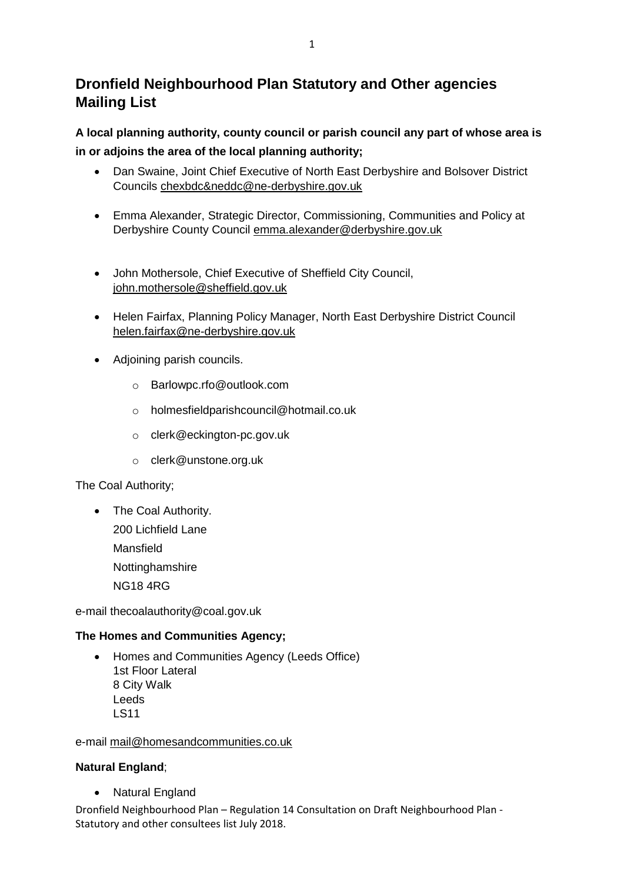# **Dronfield Neighbourhood Plan Statutory and Other agencies Mailing List**

**A local planning authority, county council or parish council any part of whose area is in or adjoins the area of the local planning authority;**

- Dan Swaine, Joint Chief Executive of North East Derbyshire and Bolsover District Councils [chexbdc&neddc@ne-derbyshire.gov.uk](mailto:chexbdc&neddc@ne-derbyshire.gov.uk)
- Emma Alexander, Strategic Director, Commissioning, Communities and Policy at Derbyshire County Council [emma.alexander@derbyshire.gov.uk](mailto:emma.alexander@derbyshire.gov.uk)
- John Mothersole, Chief Executive of Sheffield City Council, [john.mothersole@sheffield.gov.uk](mailto:john.mothersole@sheffield.gov.uk)
- Helen Fairfax, Planning Policy Manager, North East Derbyshire District Council helen.fairfax@ne-derbyshire.gov.uk
- Adjoining parish councils.
	- o Barlowpc.rfo@outlook.com
	- o holmesfieldparishcouncil@hotmail.co.uk
	- o clerk@eckington-pc.gov.uk
	- o clerk@unstone.org.uk

### The Coal Authority;

• The Coal Authority. 200 Lichfield Lane Mansfield Nottinghamshire NG18 4RG

e-mail thecoalauthority@coal.gov.uk

### **The Homes and Communities Agency;**

• Homes and Communities Agency (Leeds Office) 1st Floor Lateral 8 City Walk Leeds LS11

### e-mail [mail@homesandcommunities.co.uk](mailto:mail@homesandcommunities.co.uk)

### **Natural England**;

Natural England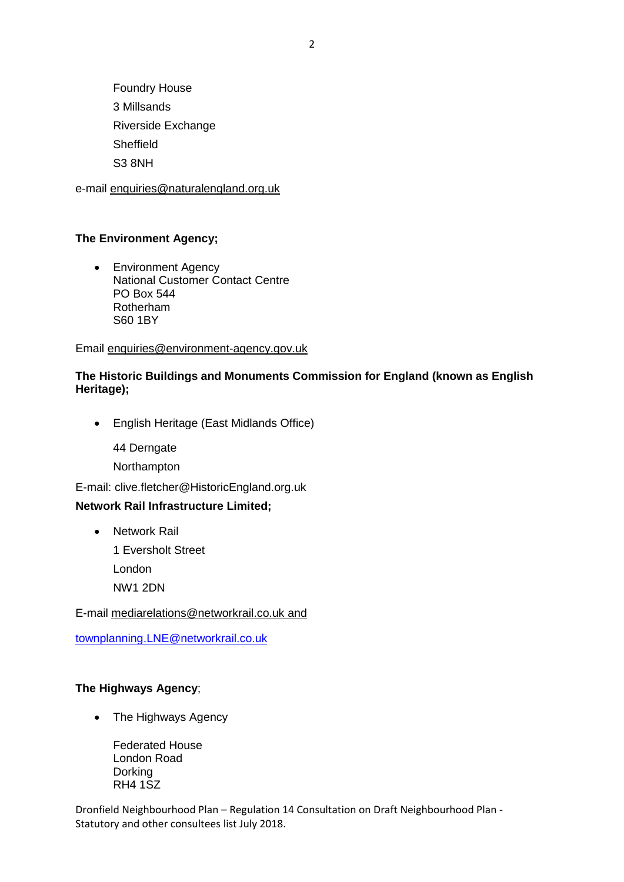Foundry House 3 Millsands Riverside Exchange Sheffield S3 8NH

e-mail [enquiries@naturalengland.org.uk](mailto:enquiries@naturalengland.org.uk)

#### **The Environment Agency;**

• Environment Agency National Customer Contact Centre PO Box 544 Rotherham S60 1BY

Email [enquiries@environment-agency.gov.uk](mailto:enquiries@environment-agency.gov.uk)

#### **The Historic Buildings and Monuments Commission for England (known as English Heritage);**

English Heritage (East Midlands Office)

44 Derngate

Northampton

E-mail: clive.fletcher@HistoricEngland.org.uk

#### **Network Rail Infrastructure Limited;**

• Network Rail

1 Eversholt Street London

NW1 2DN

E-mail [mediarelations@networkrail.co.uk](mailto:mediarelations@networkrail.co.uk) and

[townplanning.LNE@networkrail.co.uk](mailto:townplanning.LNE@networkrail.co.uk)

#### **The Highways Agency**;

• The Highways Agency

Federated House London Road Dorking RH4 1SZ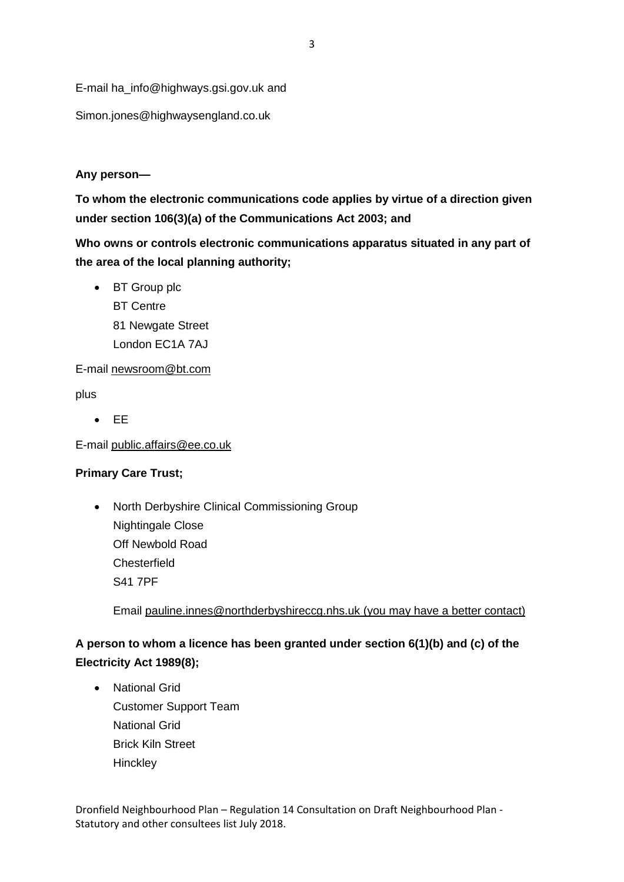E-mail [ha\\_info@highways.gsi.gov.uk](mailto:ha_info@highways.gsi.gov.uk) and

Simon.jones@highwaysengland.co.uk

## **Any person—**

**To whom the electronic communications code applies by virtue of a direction given under section 106(3)(a) of the Communications Act 2003; and**

**Who owns or controls electronic communications apparatus situated in any part of the area of the local planning authority;**

• BT Group plc BT Centre 81 Newgate Street London EC1A 7AJ

E-mail [newsroom@bt.com](mailto:newsroom@bt.com)

plus

 $E$ 

E-mail [public.affairs@ee.co.uk](mailto:public.affairs@ee.co.uk)

## **Primary Care Trust;**

• North Derbyshire Clinical Commissioning Group Nightingale Close Off Newbold Road **Chesterfield** S41 7PF

Email [pauline.innes@northderbyshireccg.nhs.uk](mailto:pauline.innes@northderbyshireccg.nhs.uk) (you may have a better contact)

## **A person to whom a licence has been granted under section 6(1)(b) and (c) of the Electricity Act 1989[\(8\)](http://www.legislation.gov.uk/uksi/2012/637/schedule/1/made#f00025);**

 National Grid Customer Support Team National Grid Brick Kiln Street **Hinckley**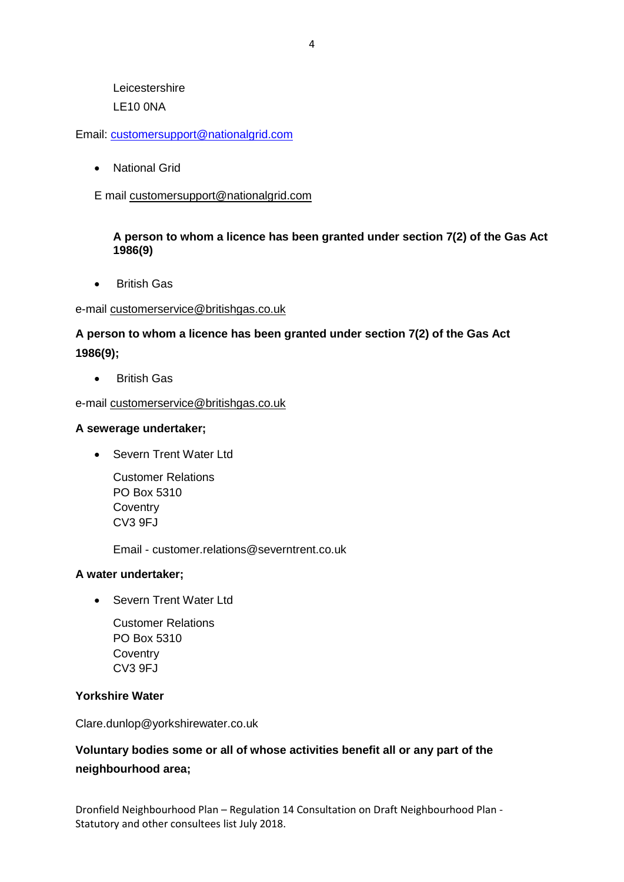Leicestershire LE10 0NA

Email: [customersupport@nationalgrid.com](mailto:customersupport@nationalgrid.com)

National Grid

E mail [customersupport@nationalgrid.com](mailto:customersupport@nationalgrid.com)

#### **A person to whom a licence has been granted under section 7(2) of the Gas Act 1986[\(9\)](http://www.legislation.gov.uk/uksi/2012/637/schedule/1/made#f00026)**

British Gas

#### e-mail [customerservice@britishgas.co.uk](mailto:customerservice@britishgas.co.uk)

## **A person to whom a licence has been granted under section 7(2) of the Gas Act 1986[\(9\)](http://www.legislation.gov.uk/uksi/2012/637/schedule/1/made#f00026);**

**•** British Gas

e-mail [customerservice@britishgas.co.uk](mailto:customerservice@britishgas.co.uk)

#### **A sewerage undertaker;**

• Severn Trent Water Ltd

Customer Relations PO Box 5310 **Coventry** CV3 9FJ

Email - customer.relations@severntrent.co.uk

### **A water undertaker;**

• Severn Trent Water Ltd

Customer Relations PO Box 5310 **Coventry** CV3 9FJ

#### **Yorkshire Water**

Clare.dunlop@yorkshirewater.co.uk

## **Voluntary bodies some or all of whose activities benefit all or any part of the neighbourhood area;**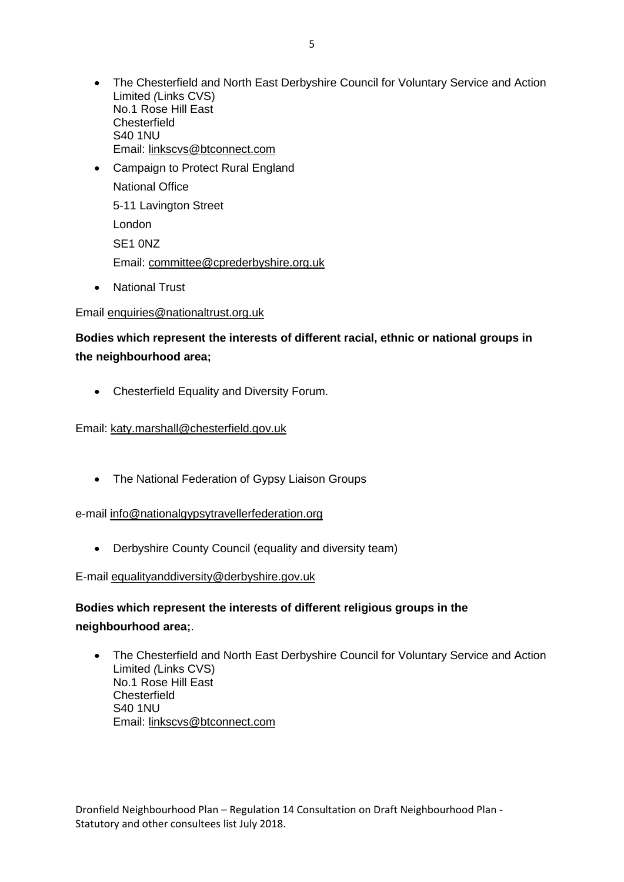- The Chesterfield and North East Derbyshire Council for Voluntary Service and Action Limited *(*Links CVS) No.1 Rose Hill East **Chesterfield** S40 1NU Email: [linkscvs@btconnect.com](mailto:linkscvs@btconnect.com)
- Campaign to Protect Rural England National Office 5-11 Lavington Street London SE1 0NZ Email: [committee@cprederbyshire.org.uk](mailto:committee@cprederbyshire.org.uk)
- National Trust

### Email [enquiries@nationaltrust.org.uk](javascript:location.href=)

## **Bodies which represent the interests of different racial, ethnic or national groups in the neighbourhood area;**

Chesterfield Equality and Diversity Forum.

Email: [katy.marshall@chesterfield.gov.uk](mailto:katy.marshall@chesterfield.gov.uk)

• The National Federation of Gypsy Liaison Groups

#### e-mail [info@nationalgypsytravellerfederation.org](mailto:info@nationalgypsytravellerfederation.org)

Derbyshire County Council (equality and diversity team)

E-mail [equalityanddiversity@derbyshire.gov.uk](mailto:equalityanddiversity@derbyshire.gov.uk)

## **Bodies which represent the interests of different religious groups in the neighbourhood area;**.

 The Chesterfield and North East Derbyshire Council for Voluntary Service and Action Limited *(*Links CVS) No.1 Rose Hill East **Chesterfield** S40 1NU Email: [linkscvs@btconnect.com](mailto:linkscvs@btconnect.com)